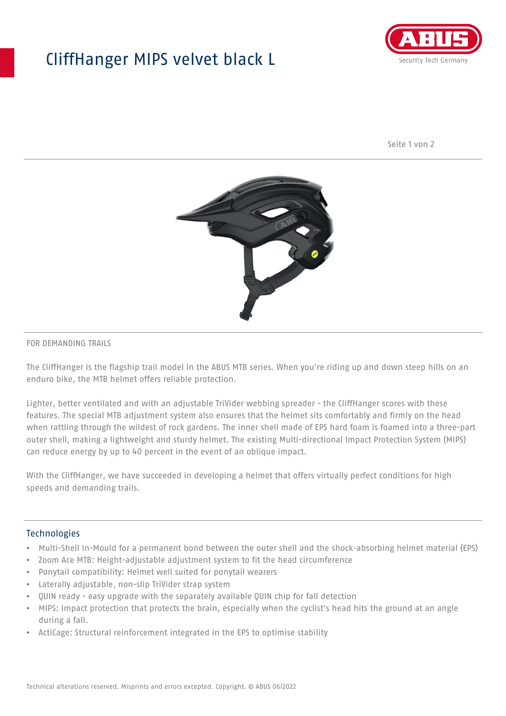## CliffHanger MIPS velvet black L



Seite 1 von 2



#### FOR DEMANDING TRAILS

The CliffHanger is the flagship trail model in the ABUS MTB series. When you're riding up and down steep hills on an enduro bike, the MTB helmet offers reliable protection.

Lighter, better ventilated and with an adjustable TriVider webbing spreader - the CliffHanger scores with these features. The special MTB adjustment system also ensures that the helmet sits comfortably and firmly on the head when rattling through the wildest of rock gardens. The inner shell made of EPS hard foam is foamed into a three-part outer shell, making a lightweight and sturdy helmet. The existing Multi-directional Impact Protection System (MIPS) can reduce energy by up to 40 percent in the event of an oblique impact.

With the CliffHanger, we have succeeded in developing a helmet that offers virtually perfect conditions for high speeds and demanding trails.

#### Technologies

- Multi-Shell In-Mould for a permanent bond between the outer shell and the shock-absorbing helmet material (EPS)
- Zoom Ace MTB: Height-adjustable adjustment system to fit the head circumference
- Ponytail compatibility: Helmet well suited for ponytail wearers
- Laterally adjustable, non-slip TriVider strap system
- QUIN ready easy upgrade with the separately available QUIN chip for fall detection
- MIPS: Impact protection that protects the brain, especially when the cyclist's head hits the ground at an angle during a fall.
- ActiCage: Structural reinforcement integrated in the EPS to optimise stability